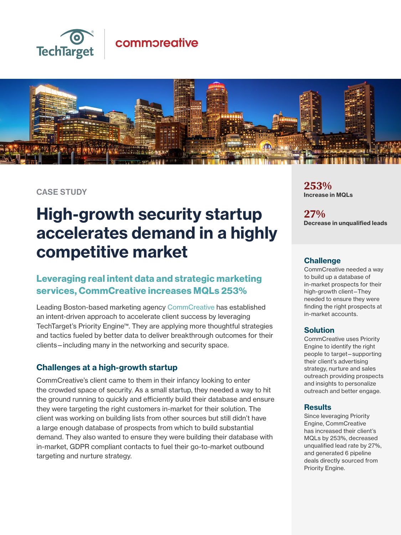

## commoreative



CASE STUDY

# High-growth security startup accelerates demand in a highly competitive market

### Leveraging real intent data and strategic marketing services, CommCreative increases MQLs 253%

Leading Boston-based marketing agency [CommCreative](https://urldefense.proofpoint.com/v2/url?u=https-3A__www.commcreative.com_&d=DwMGaQ&c=tEbGsWWjqkBSpaWdXc_mdMSanI1bDu-FKXiKGCfVmPM&r=FQy4AmO0oNEqpsNSm9xmnN3uQMjP6y2Xl7_rS4ZQ5kM&m=sYTNCaJTyuFJuMsFn8Jtad5N_dAafw7_e6IHQK06y2A&s=0zyoE1EGitdffNkc2EUVAxwXX-W6G1-wxJ9nR51dcCg&e=) has established an intent-driven approach to accelerate client success by leveraging TechTarget's Priority Engine™. They are applying more thoughtful strategies and tactics fueled by better data to deliver breakthrough outcomes for their clients—including many in the networking and security space.

#### Challenges at a high-growth startup

CommCreative's client came to them in their infancy looking to enter the crowded space of security. As a small startup, they needed a way to hit the ground running to quickly and efficiently build their database and ensure they were targeting the right customers in-market for their solution. The client was working on building lists from other sources but still didn't have a large enough database of prospects from which to build substantial demand. They also wanted to ensure they were building their database with in-market, GDPR compliant contacts to fuel their go-to-market outbound targeting and nurture strategy.

**253%**  Increase in MQLs

**27%** Decrease in unqualified leads

#### **Challenge**

CommCreative needed a way to build up a database of in-market prospects for their high-growth client—They needed to ensure they were finding the right prospects at in-market accounts.

#### Solution

CommCreative uses Priority Engine to identify the right people to target—supporting their client's advertising strategy, nurture and sales outreach providing prospects and insights to personalize outreach and better engage.

#### **Results**

Since leveraging Priority Engine, CommCreative has increased their client's MQLs by 253%, decreased unqualified lead rate by 27%, and generated 6 pipeline deals directly sourced from Priority Engine.